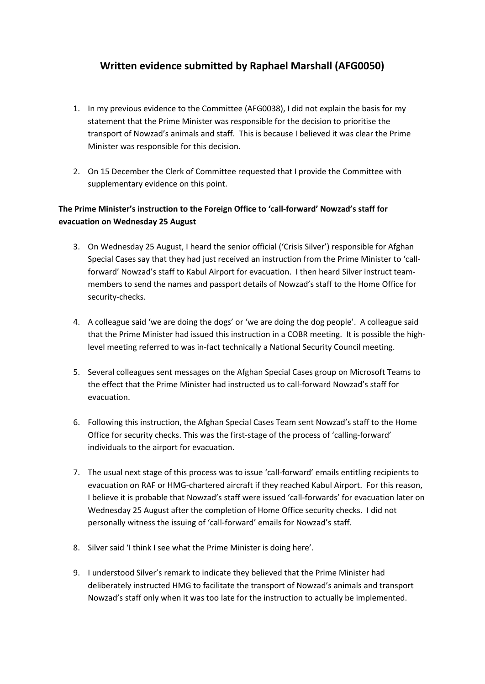# **Written evidence submitted by Raphael Marshall (AFG0050)**

- 1. In my previous evidence to the Committee (AFG0038), I did not explain the basis for my statement that the Prime Minister was responsible for the decision to prioritise the transport of Nowzad's animals and staff. This is because I believed it was clear the Prime Minister was responsible for this decision.
- 2. On 15 December the Clerk of Committee requested that I provide the Committee with supplementary evidence on this point.

## **The Prime Minister's instruction to the Foreign Office to 'call-forward' Nowzad's staff for evacuation on Wednesday 25 August**

- 3. On Wednesday 25 August, I heard the senior official ('Crisis Silver') responsible for Afghan Special Cases say that they had just received an instruction from the Prime Minister to 'callforward' Nowzad's staff to Kabul Airport for evacuation. I then heard Silver instruct teammembers to send the names and passport details of Nowzad's staff to the Home Office for security-checks.
- 4. A colleague said 'we are doing the dogs' or 'we are doing the dog people'. A colleague said that the Prime Minister had issued this instruction in a COBR meeting. It is possible the highlevel meeting referred to was in-fact technically a National Security Council meeting.
- 5. Several colleagues sent messages on the Afghan Special Cases group on Microsoft Teams to the effect that the Prime Minister had instructed us to call-forward Nowzad's staff for evacuation.
- 6. Following this instruction, the Afghan Special Cases Team sent Nowzad's staff to the Home Office for security checks. This was the first-stage of the process of 'calling-forward' individuals to the airport for evacuation.
- 7. The usual next stage of this process was to issue 'call-forward' emails entitling recipients to evacuation on RAF or HMG-chartered aircraft if they reached Kabul Airport. For this reason, I believe it is probable that Nowzad's staff were issued 'call-forwards' for evacuation later on Wednesday 25 August after the completion of Home Office security checks. I did not personally witness the issuing of 'call-forward' emails for Nowzad's staff.
- 8. Silver said 'I think I see what the Prime Minister is doing here'.
- 9. I understood Silver's remark to indicate they believed that the Prime Minister had deliberately instructed HMG to facilitate the transport of Nowzad's animals and transport Nowzad's staff only when it was too late for the instruction to actually be implemented.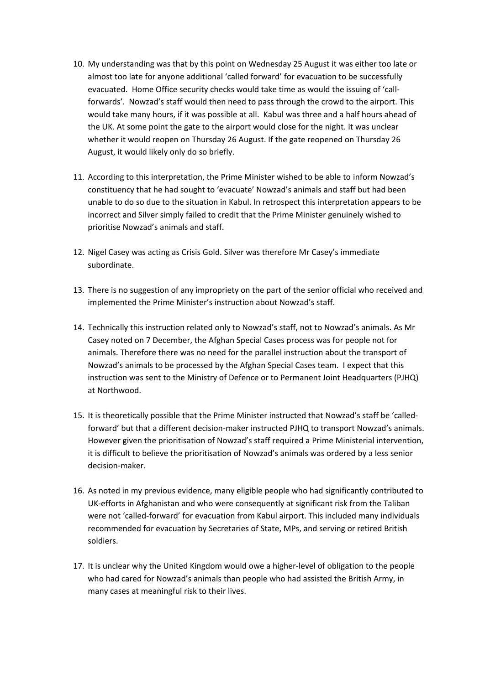- 10. My understanding was that by this point on Wednesday 25 August it was either too late or almost too late for anyone additional 'called forward' for evacuation to be successfully evacuated. Home Office security checks would take time as would the issuing of 'callforwards'. Nowzad's staff would then need to pass through the crowd to the airport. This would take many hours, if it was possible at all. Kabul was three and a half hours ahead of the UK. At some point the gate to the airport would close for the night. It was unclear whether it would reopen on Thursday 26 August. If the gate reopened on Thursday 26 August, it would likely only do so briefly.
- 11. According to this interpretation, the Prime Minister wished to be able to inform Nowzad's constituency that he had sought to 'evacuate' Nowzad's animals and staff but had been unable to do so due to the situation in Kabul. In retrospect this interpretation appears to be incorrect and Silver simply failed to credit that the Prime Minister genuinely wished to prioritise Nowzad's animals and staff.
- 12. Nigel Casey was acting as Crisis Gold. Silver was therefore Mr Casey's immediate subordinate.
- 13. There is no suggestion of any impropriety on the part of the senior official who received and implemented the Prime Minister's instruction about Nowzad's staff.
- 14. Technically this instruction related only to Nowzad's staff, not to Nowzad's animals. As Mr Casey noted on 7 December, the Afghan Special Cases process was for people not for animals. Therefore there was no need for the parallel instruction about the transport of Nowzad's animals to be processed by the Afghan Special Cases team. I expect that this instruction was sent to the Ministry of Defence or to Permanent Joint Headquarters (PJHQ) at Northwood.
- 15. It is theoretically possible that the Prime Minister instructed that Nowzad's staff be 'calledforward' but that a different decision-maker instructed PJHQ to transport Nowzad's animals. However given the prioritisation of Nowzad's staff required a Prime Ministerial intervention, it is difficult to believe the prioritisation of Nowzad's animals was ordered by a less senior decision-maker.
- 16. As noted in my previous evidence, many eligible people who had significantly contributed to UK-efforts in Afghanistan and who were consequently at significant risk from the Taliban were not 'called-forward' for evacuation from Kabul airport. This included many individuals recommended for evacuation by Secretaries of State, MPs, and serving or retired British soldiers.
- 17. It is unclear why the United Kingdom would owe a higher-level of obligation to the people who had cared for Nowzad's animals than people who had assisted the British Army, in many cases at meaningful risk to their lives.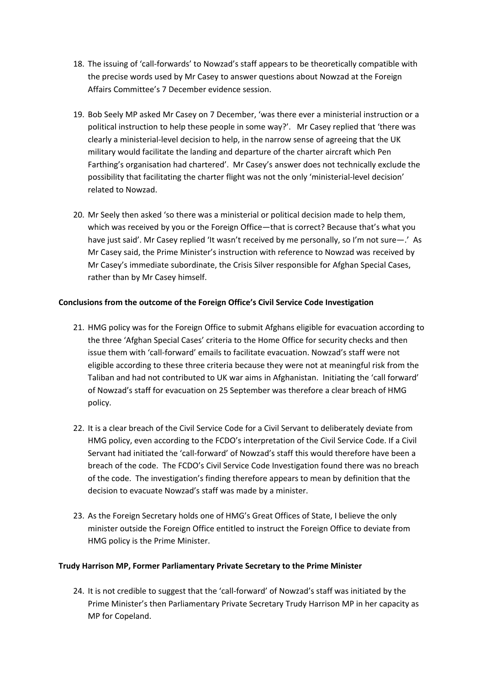- 18. The issuing of 'call-forwards' to Nowzad's staff appears to be theoretically compatible with the precise words used by Mr Casey to answer questions about Nowzad at the Foreign Affairs Committee's 7 December evidence session.
- 19. Bob Seely MP asked Mr Casey on 7 December, 'was there ever a ministerial instruction or a political instruction to help these people in some way?'. Mr Casey replied that 'there was clearly a ministerial-level decision to help, in the narrow sense of agreeing that the UK military would facilitate the landing and departure of the charter aircraft which Pen Farthing's organisation had chartered'. Mr Casey's answer does not technically exclude the possibility that facilitating the charter flight was not the only 'ministerial-level decision' related to Nowzad.
- 20. Mr Seely then asked 'so there was a ministerial or political decision made to help them, which was received by you or the Foreign Office—that is correct? Because that's what you have just said'. Mr Casey replied 'It wasn't received by me personally, so I'm not sure—.' As Mr Casey said, the Prime Minister's instruction with reference to Nowzad was received by Mr Casey's immediate subordinate, the Crisis Silver responsible for Afghan Special Cases, rather than by Mr Casey himself.

## **Conclusions from the outcome of the Foreign Office's Civil Service Code Investigation**

- 21. HMG policy was for the Foreign Office to submit Afghans eligible for evacuation according to the three 'Afghan Special Cases' criteria to the Home Office for security checks and then issue them with 'call-forward' emails to facilitate evacuation. Nowzad's staff were not eligible according to these three criteria because they were not at meaningful risk from the Taliban and had not contributed to UK war aims in Afghanistan. Initiating the 'call forward' of Nowzad's staff for evacuation on 25 September was therefore a clear breach of HMG policy.
- 22. It is a clear breach of the Civil Service Code for a Civil Servant to deliberately deviate from HMG policy, even according to the FCDO's interpretation of the Civil Service Code. If a Civil Servant had initiated the 'call-forward' of Nowzad's staff this would therefore have been a breach of the code. The FCDO's Civil Service Code Investigation found there was no breach of the code. The investigation's finding therefore appears to mean by definition that the decision to evacuate Nowzad's staff was made by a minister.
- 23. As the Foreign Secretary holds one of HMG's Great Offices of State, I believe the only minister outside the Foreign Office entitled to instruct the Foreign Office to deviate from HMG policy is the Prime Minister.

### **Trudy Harrison MP, Former Parliamentary Private Secretary to the Prime Minister**

24. It is not credible to suggest that the 'call-forward' of Nowzad's staff was initiated by the Prime Minister's then Parliamentary Private Secretary Trudy Harrison MP in her capacity as MP for Copeland.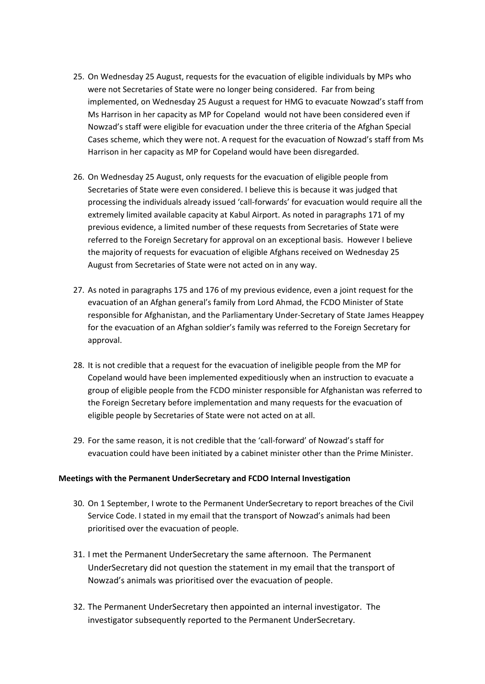- 25. On Wednesday 25 August, requests for the evacuation of eligible individuals by MPs who were not Secretaries of State were no longer being considered. Far from being implemented, on Wednesday 25 August a request for HMG to evacuate Nowzad's staff from Ms Harrison in her capacity as MP for Copeland would not have been considered even if Nowzad's staff were eligible for evacuation under the three criteria of the Afghan Special Cases scheme, which they were not. A request for the evacuation of Nowzad's staff from Ms Harrison in her capacity as MP for Copeland would have been disregarded.
- 26. On Wednesday 25 August, only requests for the evacuation of eligible people from Secretaries of State were even considered. I believe this is because it was judged that processing the individuals already issued 'call-forwards' for evacuation would require all the extremely limited available capacity at Kabul Airport. As noted in paragraphs 171 of my previous evidence, a limited number of these requests from Secretaries of State were referred to the Foreign Secretary for approval on an exceptional basis. However I believe the majority of requests for evacuation of eligible Afghans received on Wednesday 25 August from Secretaries of State were not acted on in any way.
- 27. As noted in paragraphs 175 and 176 of my previous evidence, even a joint request for the evacuation of an Afghan general's family from Lord Ahmad, the FCDO Minister of State responsible for Afghanistan, and the Parliamentary Under-Secretary of State James Heappey for the evacuation of an Afghan soldier's family was referred to the Foreign Secretary for approval.
- 28. It is not credible that a request for the evacuation of ineligible people from the MP for Copeland would have been implemented expeditiously when an instruction to evacuate a group of eligible people from the FCDO minister responsible for Afghanistan was referred to the Foreign Secretary before implementation and many requests for the evacuation of eligible people by Secretaries of State were not acted on at all.
- 29. For the same reason, it is not credible that the 'call-forward' of Nowzad's staff for evacuation could have been initiated by a cabinet minister other than the Prime Minister.

### **Meetings with the Permanent UnderSecretary and FCDO Internal Investigation**

- 30. On 1 September, I wrote to the Permanent UnderSecretary to report breaches of the Civil Service Code. I stated in my email that the transport of Nowzad's animals had been prioritised over the evacuation of people.
- 31. I met the Permanent UnderSecretary the same afternoon. The Permanent UnderSecretary did not question the statement in my email that the transport of Nowzad's animals was prioritised over the evacuation of people.
- 32. The Permanent UnderSecretary then appointed an internal investigator. The investigator subsequently reported to the Permanent UnderSecretary.